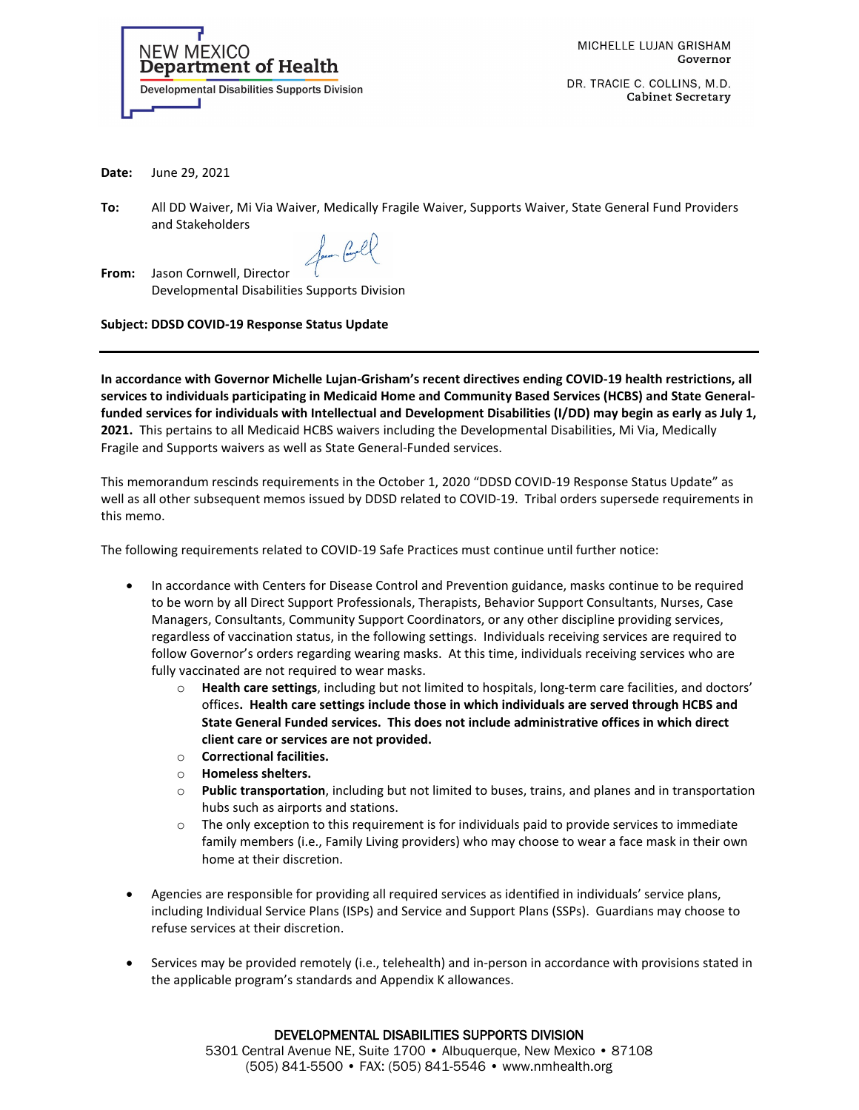

MICHELLE LUJAN GRISHAM Governor

DR. TRACIE C. COLLINS, M.D. **Cabinet Secretary** 

**Date:** June 29, 2021

**To:** All DD Waiver, Mi Via Waiver, Medically Fragile Waiver, Supports Waiver, State General Fund Providers and Stakeholders

form Cool

**From:** Jason Cornwell, Director Developmental Disabilities Supports Division

**Subject: DDSD COVID-19 Response Status Update** 

**In accordance with Governor Michelle Lujan-Grisham's recent directives ending COVID-19 health restrictions, all services to individuals participating in Medicaid Home and Community Based Services (HCBS) and State Generalfunded services for individuals with Intellectual and Development Disabilities (I/DD) may begin as early as July 1, 2021.** This pertains to all Medicaid HCBS waivers including the Developmental Disabilities, Mi Via, Medically Fragile and Supports waivers as well as State General-Funded services.

This memorandum rescinds requirements in the October 1, 2020 "DDSD COVID-19 Response Status Update" as well as all other subsequent memos issued by DDSD related to COVID-19. Tribal orders supersede requirements in this memo.

The following requirements related to COVID-19 Safe Practices must continue until further notice:

- In accordance with Centers for Disease Control and Prevention guidance, masks continue to be required to be worn by all Direct Support Professionals, Therapists, Behavior Support Consultants, Nurses, Case Managers, Consultants, Community Support Coordinators, or any other discipline providing services, regardless of vaccination status, in the following settings. Individuals receiving services are required to follow Governor's orders regarding wearing masks. At this time, individuals receiving services who are fully vaccinated are not required to wear masks.
	- o **Health care settings**, including but not limited to hospitals, long-term care facilities, and doctors' offices**. Health care settings include those in which individuals are served through HCBS and State General Funded services. This does not include administrative offices in which direct client care or services are not provided.**
	- o **Correctional facilities.**
	- Homeless shelters.
	- o **Public transportation**, including but not limited to buses, trains, and planes and in transportation hubs such as airports and stations.
	- o The only exception to this requirement is for individuals paid to provide services to immediate family members (i.e., Family Living providers) who may choose to wear a face mask in their own home at their discretion.
- Agencies are responsible for providing all required services as identified in individuals' service plans, including Individual Service Plans (ISPs) and Service and Support Plans (SSPs). Guardians may choose to refuse services at their discretion.
- Services may be provided remotely (i.e., telehealth) and in-person in accordance with provisions stated in the applicable program's standards and Appendix K allowances.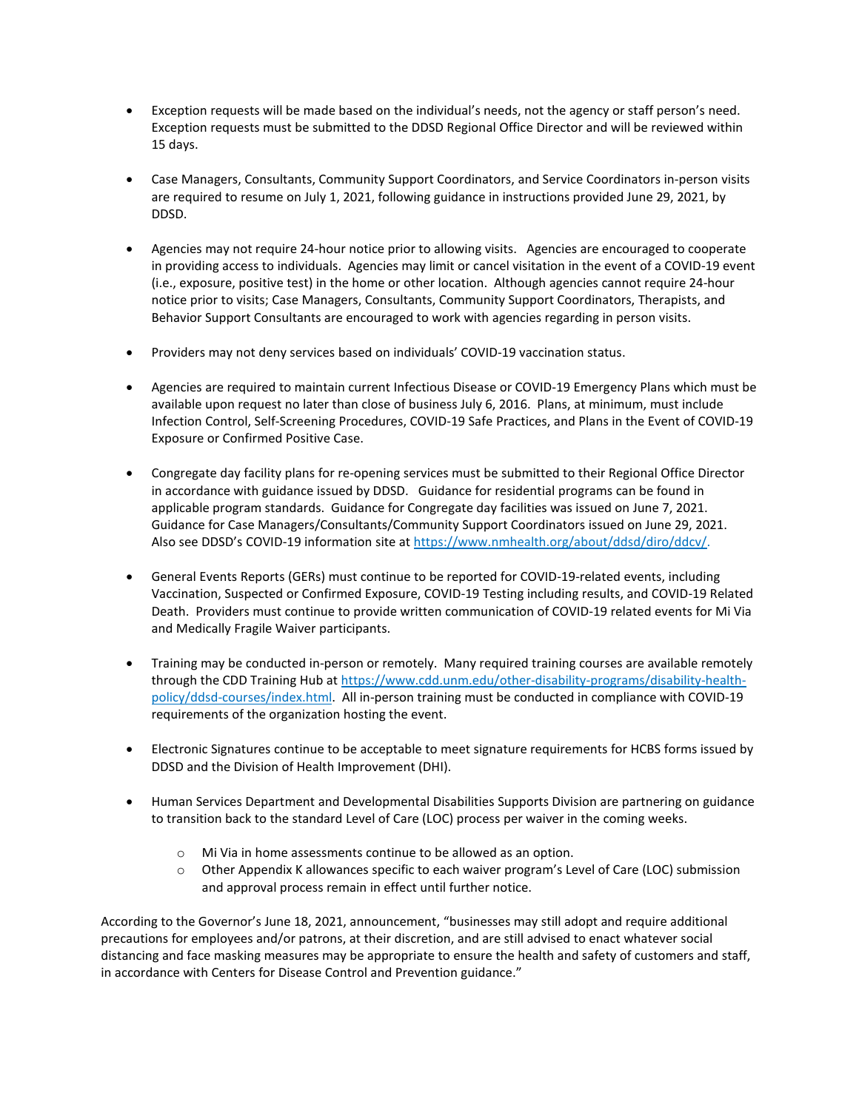- Exception requests will be made based on the individual's needs, not the agency or staff person's need. Exception requests must be submitted to the DDSD Regional Office Director and will be reviewed within 15 days.
- Case Managers, Consultants, Community Support Coordinators, and Service Coordinators in-person visits are required to resume on July 1, 2021, following guidance in instructions provided June 29, 2021, by DDSD.
- Agencies may not require 24-hour notice prior to allowing visits. Agencies are encouraged to cooperate in providing access to individuals. Agencies may limit or cancel visitation in the event of a COVID-19 event (i.e., exposure, positive test) in the home or other location. Although agencies cannot require 24-hour notice prior to visits; Case Managers, Consultants, Community Support Coordinators, Therapists, and Behavior Support Consultants are encouraged to work with agencies regarding in person visits.
- Providers may not deny services based on individuals' COVID-19 vaccination status.
- Agencies are required to maintain current Infectious Disease or COVID-19 Emergency Plans which must be available upon request no later than close of business July 6, 2016. Plans, at minimum, must include Infection Control, Self-Screening Procedures, COVID-19 Safe Practices, and Plans in the Event of COVID-19 Exposure or Confirmed Positive Case.
- Congregate day facility plans for re-opening services must be submitted to their Regional Office Director in accordance with guidance issued by DDSD. Guidance for residential programs can be found in applicable program standards. Guidance for Congregate day facilities was issued on June 7, 2021. Guidance for Case Managers/Consultants/Community Support Coordinators issued on June 29, 2021. Also see DDSD's COVID-19 information site at [https://www.nmhealth.org/about/ddsd/diro/ddcv/.](https://www.nmhealth.org/about/ddsd/diro/ddcv/)
- General Events Reports (GERs) must continue to be reported for COVID-19-related events, including Vaccination, Suspected or Confirmed Exposure, COVID-19 Testing including results, and COVID-19 Related Death. Providers must continue to provide written communication of COVID-19 related events for Mi Via and Medically Fragile Waiver participants.
- Training may be conducted in-person or remotely. Many required training courses are available remotely through the CDD Training Hub at [https://www.cdd.unm.edu/other-disability-programs/disability-health](https://www.cdd.unm.edu/other-disability-programs/disability-health-policy/ddsd-courses/index.html)[policy/ddsd-courses/index.html.](https://www.cdd.unm.edu/other-disability-programs/disability-health-policy/ddsd-courses/index.html) All in-person training must be conducted in compliance with COVID-19 requirements of the organization hosting the event.
- Electronic Signatures continue to be acceptable to meet signature requirements for HCBS forms issued by DDSD and the Division of Health Improvement (DHI).
- Human Services Department and Developmental Disabilities Supports Division are partnering on guidance to transition back to the standard Level of Care (LOC) process per waiver in the coming weeks.
	- o Mi Via in home assessments continue to be allowed as an option.
	- o Other Appendix K allowances specific to each waiver program's Level of Care (LOC) submission and approval process remain in effect until further notice.

According to the Governor's June 18, 2021, announcement, "businesses may still adopt and require additional precautions for employees and/or patrons, at their discretion, and are still advised to enact whatever social distancing and face masking measures may be appropriate to ensure the health and safety of customers and staff, in accordance with Centers for Disease Control and Prevention guidance."